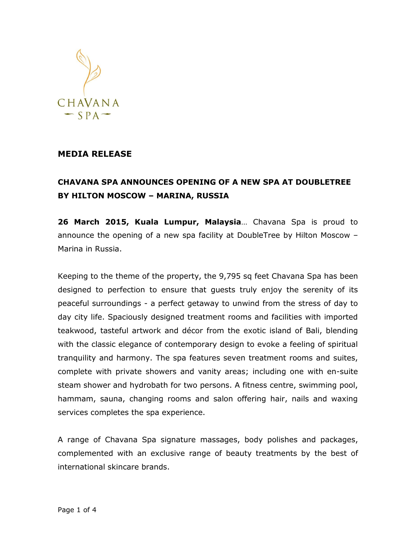

## **MEDIA RELEASE**

## **CHAVANA SPA ANNOUNCES OPENING OF A NEW SPA AT DOUBLETREE BY HILTON MOSCOW – MARINA, RUSSIA**

**26 March 2015, Kuala Lumpur, Malaysia**… Chavana Spa is proud to announce the opening of a new spa facility at DoubleTree by Hilton Moscow – Marina in Russia.

Keeping to the theme of the property, the 9,795 sq feet Chavana Spa has been designed to perfection to ensure that guests truly enjoy the serenity of its peaceful surroundings - a perfect getaway to unwind from the stress of day to day city life. Spaciously designed treatment rooms and facilities with imported teakwood, tasteful artwork and décor from the exotic island of Bali, blending with the classic elegance of contemporary design to evoke a feeling of spiritual tranquility and harmony. The spa features seven treatment rooms and suites, complete with private showers and vanity areas; including one with en-suite steam shower and hydrobath for two persons. A fitness centre, swimming pool, hammam, sauna, changing rooms and salon offering hair, nails and waxing services completes the spa experience.

A range of Chavana Spa signature massages, body polishes and packages, complemented with an exclusive range of beauty treatments by the best of international skincare brands.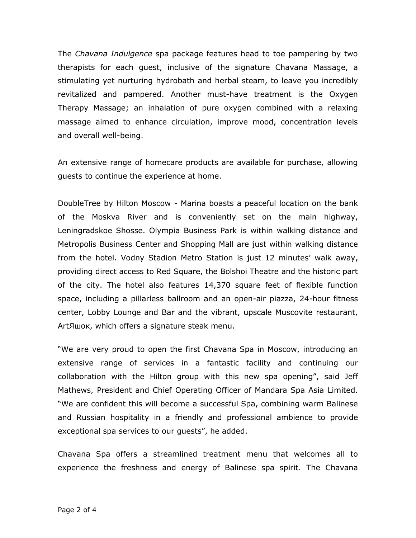The *Chavana Indulgence* spa package features head to toe pampering by two therapists for each guest, inclusive of the signature Chavana Massage, a stimulating yet nurturing hydrobath and herbal steam, to leave you incredibly revitalized and pampered. Another must-have treatment is the Oxygen Therapy Massage; an inhalation of pure oxygen combined with a relaxing massage aimed to enhance circulation, improve mood, concentration levels and overall well-being.

An extensive range of homecare products are available for purchase, allowing guests to continue the experience at home.

DoubleTree by Hilton Moscow - Marina boasts a peaceful location on the bank of the Moskva River and is conveniently set on the main highway, Leningradskoe Shosse. Olympia Business Park is within walking distance and Metropolis Business Center and Shopping Mall are just within walking distance from the hotel. Vodny Stadion Metro Station is just 12 minutes' walk away, providing direct access to Red Square, the Bolshoi Theatre and the historic part of the city. The hotel also features 14,370 square feet of flexible function space, including a pillarless ballroom and an open-air piazza, 24-hour fitness center, Lobby Lounge and Bar and the vibrant, upscale Muscovite restaurant, ArtЯшок, which offers a signature steak menu.

"We are very proud to open the first Chavana Spa in Moscow, introducing an extensive range of services in a fantastic facility and continuing our collaboration with the Hilton group with this new spa opening", said Jeff Mathews, President and Chief Operating Officer of Mandara Spa Asia Limited. "We are confident this will become a successful Spa, combining warm Balinese and Russian hospitality in a friendly and professional ambience to provide exceptional spa services to our guests", he added.

Chavana Spa offers a streamlined treatment menu that welcomes all to experience the freshness and energy of Balinese spa spirit. The Chavana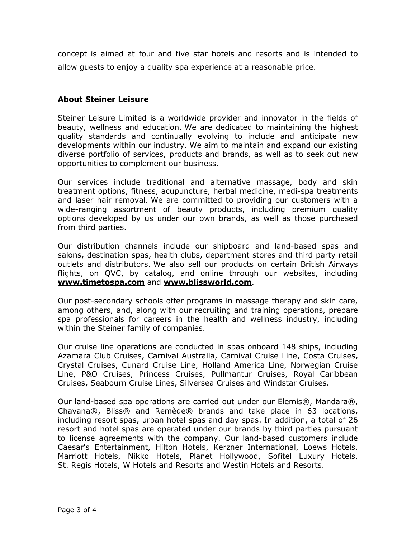concept is aimed at four and five star hotels and resorts and is intended to allow guests to enjoy a quality spa experience at a reasonable price.

## **About Steiner Leisure**

Steiner Leisure Limited is a worldwide provider and innovator in the fields of beauty, wellness and education. We are dedicated to maintaining the highest quality standards and continually evolving to include and anticipate new developments within our industry. We aim to maintain and expand our existing diverse portfolio of services, products and brands, as well as to seek out new opportunities to complement our business.

Our services include traditional and alternative massage, body and skin treatment options, fitness, acupuncture, herbal medicine, medi-spa treatments and laser hair removal. We are committed to providing our customers with a wide-ranging assortment of beauty products, including premium quality options developed by us under our own brands, as well as those purchased from third parties.

Our distribution channels include our shipboard and land-based spas and salons, destination spas, health clubs, department stores and third party retail outlets and distributors. We also sell our products on certain British Airways flights, on QVC, by catalog, and online through our websites, including **[www.timetospa.com](http://www.timetospa.com/)** and **[www.blissworld.com](http://www.blissworld.com/)**.

Our post-secondary schools offer programs in massage therapy and skin care, among others, and, along with our recruiting and training operations, prepare spa professionals for careers in the health and wellness industry, including within the Steiner family of companies.

Our cruise line operations are conducted in spas onboard 148 ships, including Azamara Club Cruises, Carnival Australia, Carnival Cruise Line, Costa Cruises, Crystal Cruises, Cunard Cruise Line, Holland America Line, Norwegian Cruise Line, P&O Cruises, Princess Cruises, Pullmantur Cruises, Royal Caribbean Cruises, Seabourn Cruise Lines, Silversea Cruises and Windstar Cruises.

Our land-based spa operations are carried out under our Elemis®, Mandara®, Chavana®, Bliss® and Remède® brands and take place in 63 locations, including resort spas, urban hotel spas and day spas. In addition, a total of 26 resort and hotel spas are operated under our brands by third parties pursuant to license agreements with the company. Our land-based customers include Caesar's Entertainment, Hilton Hotels, Kerzner International, Loews Hotels, Marriott Hotels, Nikko Hotels, Planet Hollywood, Sofitel Luxury Hotels, St. Regis Hotels, W Hotels and Resorts and Westin Hotels and Resorts.